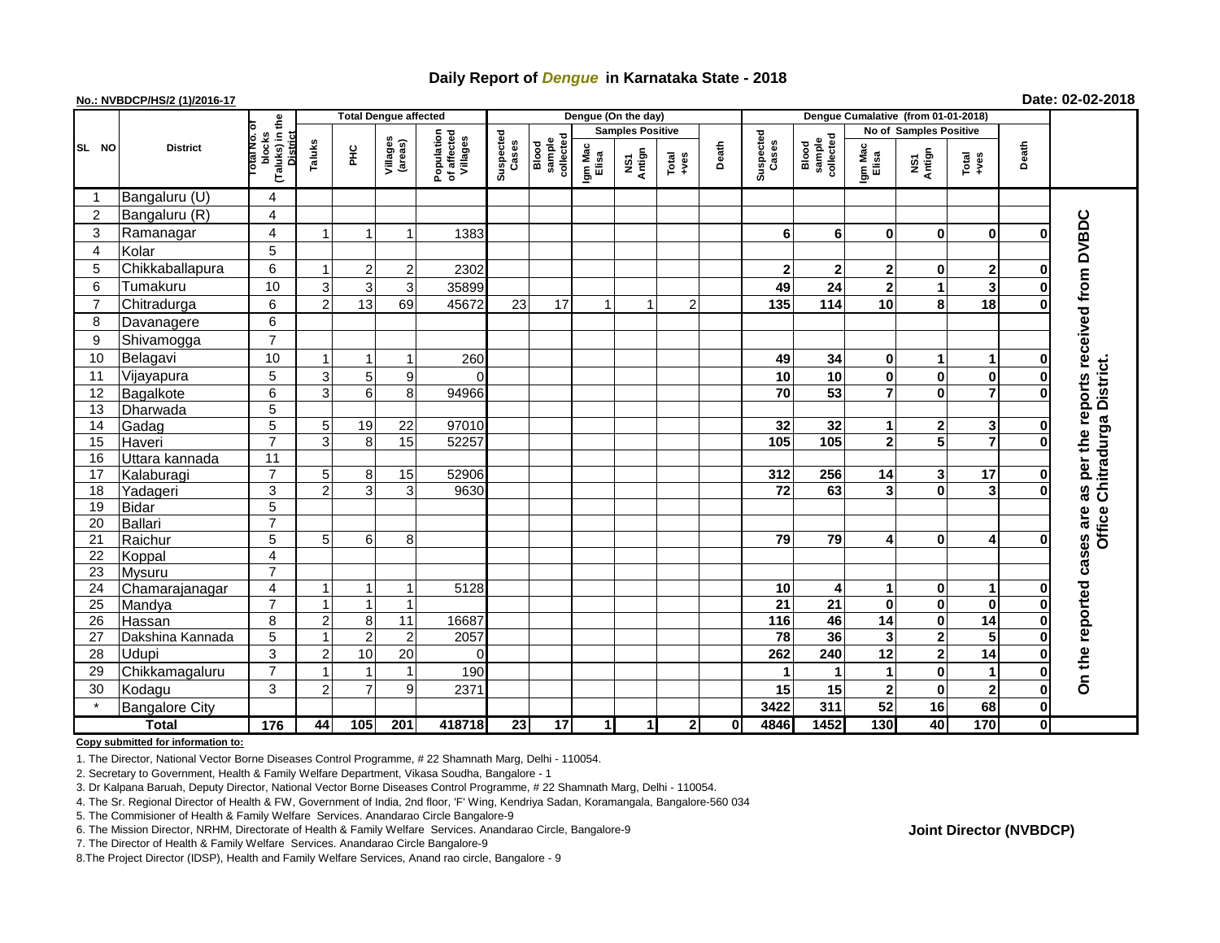## **Daily Report of** *Dengue* **in Karnataka State - 2018**

### **No.: NVBDCP/HS/2 (1)/2016-17 Date: 02-02-2018**

|                 | <b>District</b>       |                                                   | <b>Total Dengue affected</b> |                |                          |                                       |                    |                              |                         | Dengue (On the day)            |                          |                    |                              |                  |                        |                         |                |              |                                     |
|-----------------|-----------------------|---------------------------------------------------|------------------------------|----------------|--------------------------|---------------------------------------|--------------------|------------------------------|-------------------------|--------------------------------|--------------------------|--------------------|------------------------------|------------------|------------------------|-------------------------|----------------|--------------|-------------------------------------|
|                 |                       |                                                   |                              |                |                          |                                       |                    |                              | <b>Samples Positive</b> |                                |                          |                    |                              |                  | No of Samples Positive |                         |                |              |                                     |
| SL NO           |                       | (Taluks) in the<br>blocks<br>District<br>otal No. | Taluks                       | ĔС             | Villages<br>(areas)      | Population<br>of affected<br>Villages | Suspected<br>Cases | collected<br>sample<br>Blood | Igm Mac<br>Elisa        | Antign<br>$\mathbf{\tilde{s}}$ | Death<br>Total<br>$+veS$ | Suspected<br>Cases | sample<br>collected<br>Blood | Igm Mac<br>Elisa | NS1<br>Antign          | Total<br>$+ves$         | Death          |              |                                     |
| -1              | Bangaluru (U)         | 4                                                 |                              |                |                          |                                       |                    |                              |                         |                                |                          |                    |                              |                  |                        |                         |                |              |                                     |
| $\overline{2}$  | Bangaluru (R)         | 4                                                 |                              |                |                          |                                       |                    |                              |                         |                                |                          |                    |                              |                  |                        |                         |                |              |                                     |
| 3               | Ramanagar             | 4                                                 |                              |                |                          | 1383                                  |                    |                              |                         |                                |                          |                    | 6                            | 6                | $\bf{0}$               | $\bf{0}$                | $\bf{0}$       | O            | per the reports received from DVBDC |
| 4               | Kolar                 | $\overline{5}$                                    |                              |                |                          |                                       |                    |                              |                         |                                |                          |                    |                              |                  |                        |                         |                |              |                                     |
| 5               | Chikkaballapura       | $\,6$                                             |                              | $\overline{c}$ | $\overline{2}$           | 2302                                  |                    |                              |                         |                                |                          |                    | $\mathbf{2}$                 | $\mathbf{2}$     | $\mathbf{2}$           | 0                       | 2              | 0            |                                     |
| 6               | Tumakuru              | 10                                                | 3                            | 3              | 3                        | 35899                                 |                    |                              |                         |                                |                          |                    | 49                           | 24               | $\mathbf{2}$           | 1                       | 3              | $\bf{0}$     |                                     |
| $\overline{7}$  | Chitradurga           | 6                                                 | $\overline{2}$               | 13             | 69                       | 45672                                 | 23                 | 17                           | $\overline{\mathbf{1}}$ | $\overline{1}$                 | $\overline{2}$           |                    | 135                          | 114              | 10                     | 8                       | 18             | $\bf{0}$     |                                     |
| 8               | Davanagere            | $\,6$                                             |                              |                |                          |                                       |                    |                              |                         |                                |                          |                    |                              |                  |                        |                         |                |              |                                     |
| 9               | Shivamogga            | $\overline{7}$                                    |                              |                |                          |                                       |                    |                              |                         |                                |                          |                    |                              |                  |                        |                         |                |              |                                     |
| 10              | Belagavi              | 10                                                |                              |                | $\overline{\phantom{a}}$ | 260                                   |                    |                              |                         |                                |                          |                    | 49                           | 34               | $\mathbf 0$            | 1                       | $\mathbf{1}$   | 0            |                                     |
| 11              | Vijayapura            | 5                                                 | 3                            | 5 <sub>5</sub> | 9                        | $\Omega$                              |                    |                              |                         |                                |                          |                    | 10                           | 10               | 0                      | 0                       | $\pmb{0}$      | $\mathbf 0$  | Office Chitradurga District         |
| 12              | Bagalkote             | $\overline{6}$                                    | 3                            | 6 <sup>1</sup> | 8 <sup>1</sup>           | 94966                                 |                    |                              |                         |                                |                          |                    | $\overline{70}$              | 53               | $\overline{7}$         | $\mathbf{0}$            | $\overline{7}$ | $\bf{0}$     |                                     |
| 13              | Dharwada              | $\overline{5}$                                    |                              |                |                          |                                       |                    |                              |                         |                                |                          |                    |                              |                  |                        |                         |                |              |                                     |
| 14              | Gadag                 | $\overline{5}$                                    | 5 <sup>1</sup>               | 19             | 22                       | 97010                                 |                    |                              |                         |                                |                          |                    | 32                           | 32               | 1                      | 2                       | 3              | $\bf{0}$     |                                     |
| 15              | Haveri                | $\overline{7}$                                    | 3                            | 8 <sup>1</sup> | $\overline{15}$          | 52257                                 |                    |                              |                         |                                |                          |                    | 105                          | 105              | $\mathbf 2$            | 5                       |                | $\Omega$     |                                     |
| 16              | Uttara kannada        | $\overline{11}$                                   |                              |                |                          |                                       |                    |                              |                         |                                |                          |                    |                              |                  |                        |                         |                |              |                                     |
| 17              | Kalaburagi            | $\overline{7}$                                    | 5                            | 8 <sup>1</sup> | 15                       | 52906                                 |                    |                              |                         |                                |                          |                    | 312                          | 256              | 14                     | 3                       | 17             | $\mathbf 0$  |                                     |
| 18              | Yadageri              | 3                                                 | $\mathfrak{p}$               | $\overline{3}$ | 3                        | 9630                                  |                    |                              |                         |                                |                          |                    | 72                           | 63               | 3                      | 0                       | 3              | $\Omega$     | as                                  |
| 19              | <b>Bidar</b>          | $\overline{5}$                                    |                              |                |                          |                                       |                    |                              |                         |                                |                          |                    |                              |                  |                        |                         |                |              |                                     |
| 20              | <b>Ballari</b>        | $\overline{7}$                                    |                              |                |                          |                                       |                    |                              |                         |                                |                          |                    |                              |                  |                        |                         |                |              | are                                 |
| 21              | Raichur               | $\overline{5}$                                    | 5 <sup>1</sup>               | $6 \mid$       | 8                        |                                       |                    |                              |                         |                                |                          |                    | 79                           | 79               | 4                      | 0                       | 4              | O            | cases                               |
| 22              | Koppal                | 4                                                 |                              |                |                          |                                       |                    |                              |                         |                                |                          |                    |                              |                  |                        |                         |                |              |                                     |
| $\overline{23}$ | Mysuru                | $\overline{7}$                                    |                              |                |                          |                                       |                    |                              |                         |                                |                          |                    |                              |                  |                        |                         |                |              |                                     |
| 24              | Chamarajanagar        | 4                                                 |                              |                | $\mathbf 1$              | 5128                                  |                    |                              |                         |                                |                          |                    | 10                           | 4                | 1                      | 0                       | 1              | $\bf{0}$     |                                     |
| 25              | Mandya                | $\overline{7}$                                    |                              | $\mathbf{1}$   | $\mathbf{1}$             |                                       |                    |                              |                         |                                |                          |                    | $\overline{21}$              | 21               | $\bf{0}$               | $\mathbf 0$             | $\bf{0}$       | $\mathbf 0$  |                                     |
| 26              | Hassan                | 8                                                 | 2                            | 8              | 11                       | 16687                                 |                    |                              |                         |                                |                          |                    | $\frac{116}{116}$            | 46               | 14                     | 0                       | 14             | 0            |                                     |
| 27              | Dakshina Kannada      | 5                                                 |                              | $\overline{2}$ | $\overline{2}$           | 2057                                  |                    |                              |                         |                                |                          |                    | 78                           | 36               | 3                      | $\mathbf 2$             | 5              | $\bf{0}$     |                                     |
| 28              | Udupi                 | $\mathfrak{S}$                                    | $\overline{2}$               | 10             | 20                       | $\Omega$                              |                    |                              |                         |                                |                          |                    | 262                          | 240              | 12                     | $\overline{\mathbf{2}}$ | 14             | $\bf{0}$     |                                     |
| 29              | Chikkamagaluru        | $\overline{7}$                                    |                              |                | 1                        | 190                                   |                    |                              |                         |                                |                          |                    | 1                            |                  | 1                      | 0                       | $\mathbf{1}$   | $\mathbf 0$  | On the reported                     |
| 30              | Kodagu                | 3                                                 | 2                            | $\overline{7}$ | 9                        | 2371                                  |                    |                              |                         |                                |                          |                    | 15                           | 15               | $\mathbf{2}$           | $\bf{0}$                | $\overline{2}$ | $\mathbf 0$  |                                     |
|                 | <b>Bangalore City</b> |                                                   |                              |                |                          |                                       |                    |                              |                         |                                |                          |                    | 3422                         | 311              | 52                     | 16                      | 68             | $\mathbf 0$  |                                     |
| <b>Total</b>    |                       | $\frac{1}{176}$                                   | 44                           | 105            | 201                      | 418718                                | 23                 | 17                           | $\mathbf{1}$            | $\mathbf{1}$                   | $\mathbf{2}$             | 0                  | 4846                         | 1452             | 130                    | 40                      | 170            | $\mathbf{0}$ |                                     |

#### **Copy submitted for information to:**

1. The Director, National Vector Borne Diseases Control Programme, # 22 Shamnath Marg, Delhi - 110054.

2. Secretary to Government, Health & Family Welfare Department, Vikasa Soudha, Bangalore - 1

3. Dr Kalpana Baruah, Deputy Director, National Vector Borne Diseases Control Programme, # 22 Shamnath Marg, Delhi - 110054.

4. The Sr. Regional Director of Health & FW, Government of India, 2nd floor, 'F' Wing, Kendriya Sadan, Koramangala, Bangalore-560 034

5. The Commisioner of Health & Family Welfare Services. Anandarao Circle Bangalore-9

7. The Director of Health & Family Welfare Services. Anandarao Circle Bangalore-9

8.The Project Director (IDSP), Health and Family Welfare Services, Anand rao circle, Bangalore - 9

#### **Joint Director (NVBDCP)**

<sup>6.</sup> The Mission Director, NRHM, Directorate of Health & Family Welfare Services. Anandarao Circle, Bangalore-9